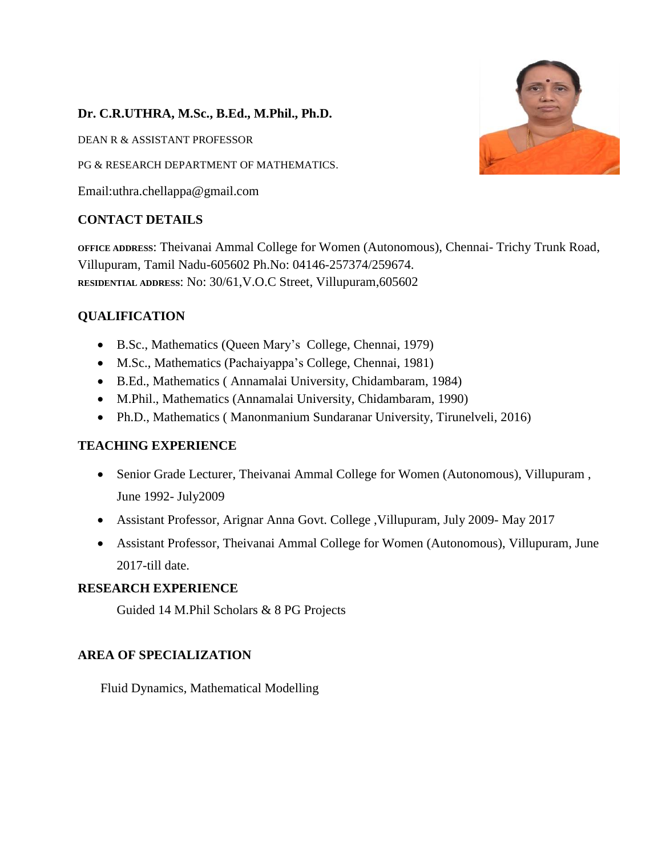## **Dr. C.R.UTHRA, M.Sc., B.Ed., M.Phil., Ph.D.**

DEAN R & ASSISTANT PROFESSOR

PG & RESEARCH DEPARTMENT OF MATHEMATICS.

Email:uthra.chellappa@gmail.com

## **CONTACT DETAILS**

**OFFICE ADDRESS**: Theivanai Ammal College for Women (Autonomous), Chennai- Trichy Trunk Road, Villupuram, Tamil Nadu-605602 Ph.No: 04146-257374/259674. **RESIDENTIAL ADDRESS**: No: 30/61,V.O.C Street, Villupuram,605602

## **QUALIFICATION**

- B.Sc., Mathematics (Queen Mary's College, Chennai, 1979)
- M.Sc., Mathematics (Pachaiyappa's College, Chennai, 1981)
- B.Ed., Mathematics ( Annamalai University, Chidambaram, 1984)
- M.Phil., Mathematics (Annamalai University, Chidambaram, 1990)
- Ph.D., Mathematics ( Manonmanium Sundaranar University, Tirunelveli, 2016)

## **TEACHING EXPERIENCE**

- Senior Grade Lecturer, Theivanai Ammal College for Women (Autonomous), Villupuram , June 1992- July2009
- Assistant Professor, Arignar Anna Govt. College ,Villupuram, July 2009- May 2017
- Assistant Professor, Theivanai Ammal College for Women (Autonomous), Villupuram, June 2017-till date.

## **RESEARCH EXPERIENCE**

Guided 14 M.Phil Scholars & 8 PG Projects

#### **AREA OF SPECIALIZATION**

Fluid Dynamics, Mathematical Modelling

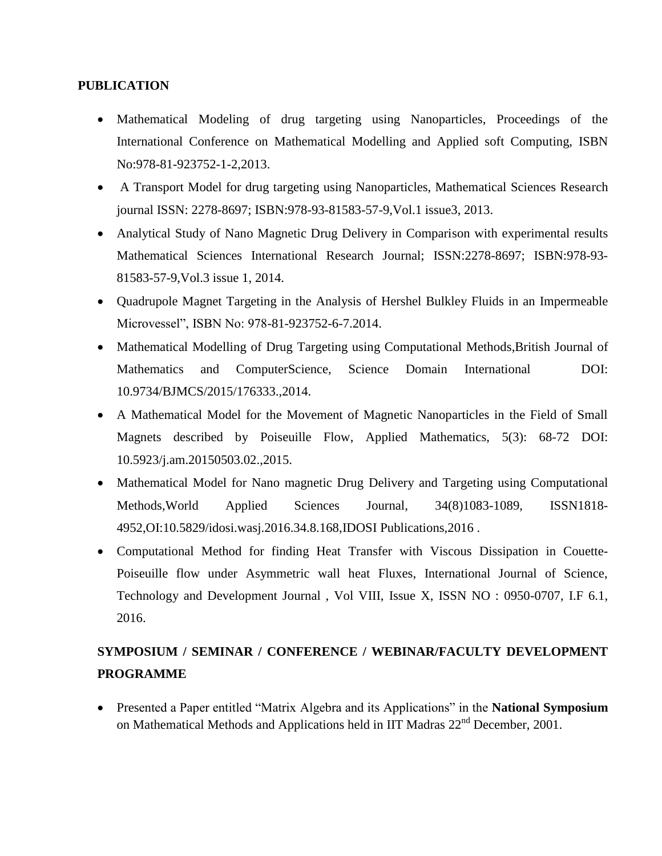#### **PUBLICATION**

- Mathematical Modeling of drug targeting using Nanoparticles, Proceedings of the International Conference on Mathematical Modelling and Applied soft Computing, ISBN No:978-81-923752-1-2,2013.
- A Transport Model for drug targeting using Nanoparticles, Mathematical Sciences Research journal ISSN: 2278-8697; ISBN:978-93-81583-57-9,Vol.1 issue3, 2013.
- Analytical Study of Nano Magnetic Drug Delivery in Comparison with experimental results Mathematical Sciences International Research Journal; ISSN:2278-8697; ISBN:978-93- 81583-57-9,Vol.3 issue 1, 2014.
- Quadrupole Magnet Targeting in the Analysis of Hershel Bulkley Fluids in an Impermeable Microvessel", ISBN No: 978-81-923752-6-7.2014.
- Mathematical Modelling of Drug Targeting using Computational Methods, British Journal of Mathematics and ComputerScience, Science Domain International DOI: 10.9734/BJMCS/2015/176333.,2014.
- A Mathematical Model for the Movement of Magnetic Nanoparticles in the Field of Small Magnets described by Poiseuille Flow, Applied Mathematics, 5(3): 68-72 DOI: 10.5923/j.am.20150503.02.,2015.
- Mathematical Model for Nano magnetic Drug Delivery and Targeting using Computational Methods,World Applied Sciences Journal, 34(8)1083-1089, ISSN1818- 4952,OI:10.5829/idosi.wasj.2016.34.8.168,IDOSI Publications,2016 .
- Computational Method for finding Heat Transfer with Viscous Dissipation in Couette-Poiseuille flow under Asymmetric wall heat Fluxes, International Journal of Science, Technology and Development Journal , Vol VIII, Issue X, ISSN NO : 0950-0707, I.F 6.1, 2016.

# **SYMPOSIUM / SEMINAR / CONFERENCE / WEBINAR/FACULTY DEVELOPMENT PROGRAMME**

 Presented a Paper entitled "Matrix Algebra and its Applications" in the **National Symposium**  on Mathematical Methods and Applications held in IIT Madras 22<sup>nd</sup> December, 2001.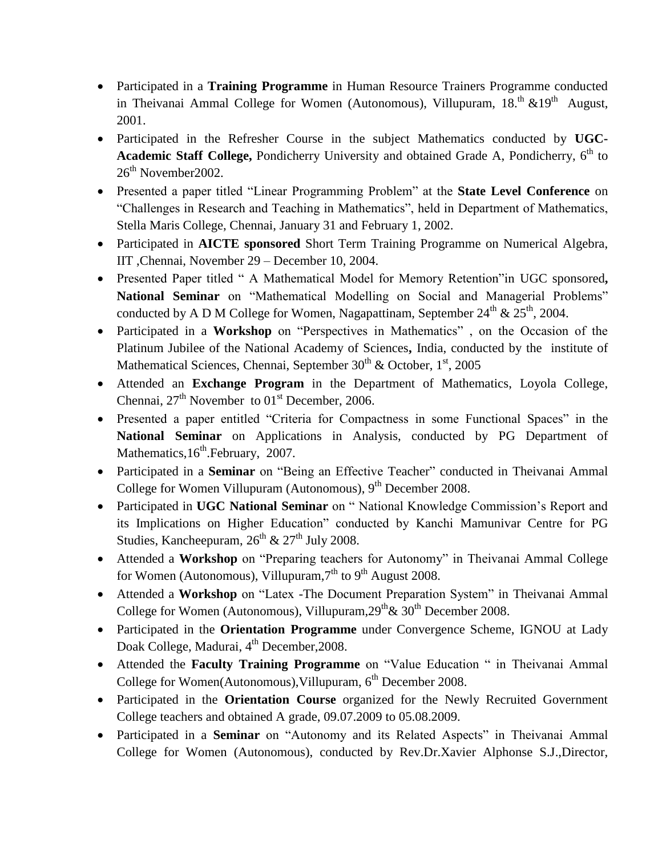- Participated in a **Training Programme** in Human Resource Trainers Programme conducted in Theivanai Ammal College for Women (Autonomous), Villupuram,  $18.^{\text{th}}$  & $19^{\text{th}}$  August, 2001.
- Participated in the Refresher Course in the subject Mathematics conducted by **UGC-**Academic Staff College, Pondicherry University and obtained Grade A, Pondicherry, 6<sup>th</sup> to 26<sup>th</sup> November 2002.
- Presented a paper titled "Linear Programming Problem" at the **State Level Conference** on "Challenges in Research and Teaching in Mathematics", held in Department of Mathematics, Stella Maris College, Chennai, January 31 and February 1, 2002.
- Participated in **AICTE sponsored** Short Term Training Programme on Numerical Algebra, IIT ,Chennai, November 29 – December 10, 2004.
- Presented Paper titled " A Mathematical Model for Memory Retention"in UGC sponsored**, National Seminar** on "Mathematical Modelling on Social and Managerial Problems" conducted by A D M College for Women, Nagapattinam, September 24<sup>th</sup> & 25<sup>th</sup>, 2004.
- Participated in a **Workshop** on "Perspectives in Mathematics" , on the Occasion of the Platinum Jubilee of the National Academy of Sciences**,** India, conducted by the institute of Mathematical Sciences, Chennai, September 30<sup>th</sup> & October, 1<sup>st</sup>, 2005
- Attended an **Exchange Program** in the Department of Mathematics, Loyola College, Chennai,  $27<sup>th</sup>$  November to  $01<sup>st</sup>$  December, 2006.
- Presented a paper entitled "Criteria for Compactness in some Functional Spaces" in the **National Seminar** on Applications in Analysis, conducted by PG Department of Mathematics, 16<sup>th</sup>. February, 2007.
- Participated in a **Seminar** on "Being an Effective Teacher" conducted in Theivanai Ammal College for Women Villupuram (Autonomous), 9<sup>th</sup> December 2008.
- Participated in **UGC National Seminar** on " National Knowledge Commission's Report and its Implications on Higher Education" conducted by Kanchi Mamunivar Centre for PG Studies, Kancheepuram,  $26^{th}$  &  $27^{th}$  July 2008.
- Attended a **Workshop** on "Preparing teachers for Autonomy" in Theivanai Ammal College for Women (Autonomous), Villupuram,  $7<sup>th</sup>$  to  $9<sup>th</sup>$  August 2008.
- Attended a **Workshop** on "Latex -The Document Preparation System" in Theivanai Ammal College for Women (Autonomous), Villupuram,  $29<sup>th</sup> \& 30<sup>th</sup>$  December 2008.
- Participated in the **Orientation Programme** under Convergence Scheme, IGNOU at Lady Doak College, Madurai, 4<sup>th</sup> December, 2008.
- Attended the **Faculty Training Programme** on "Value Education " in Theivanai Ammal College for Women(Autonomous), Villupuram, 6<sup>th</sup> December 2008.
- Participated in the **Orientation Course** organized for the Newly Recruited Government College teachers and obtained A grade, 09.07.2009 to 05.08.2009.
- Participated in a **Seminar** on "Autonomy and its Related Aspects" in Theivanai Ammal College for Women (Autonomous), conducted by Rev.Dr.Xavier Alphonse S.J.,Director,